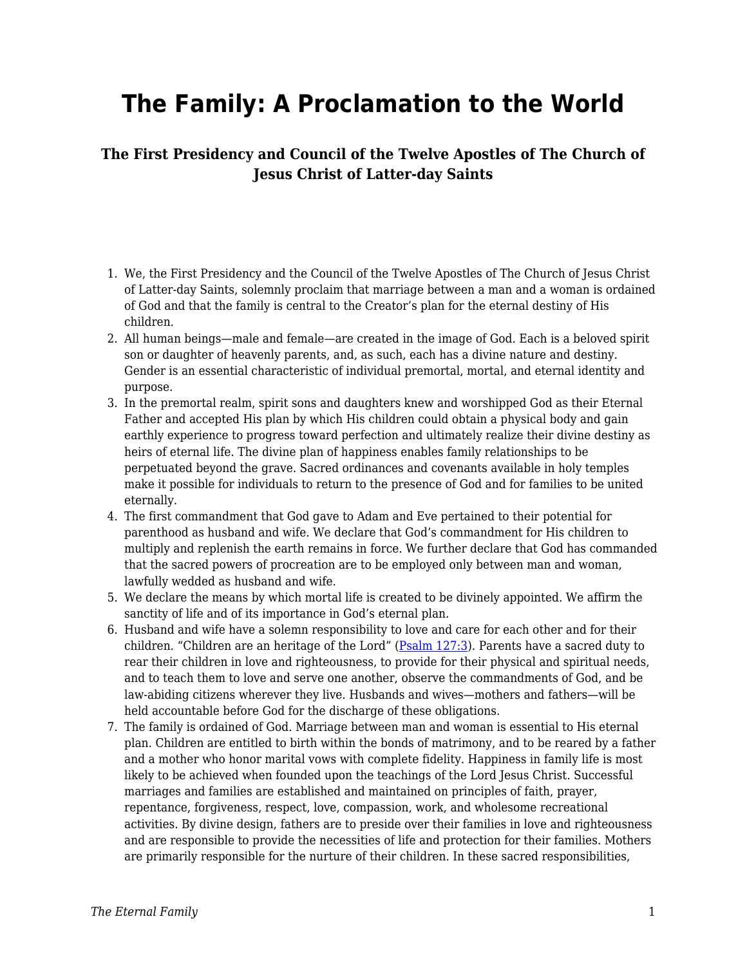## **The Family: A Proclamation to the World**

## **The First Presidency and Council of the Twelve Apostles of The Church of Jesus Christ of Latter-day Saints**

- 1. We, the First Presidency and the Council of the Twelve Apostles of The Church of Jesus Christ of Latter-day Saints, solemnly proclaim that marriage between a man and a woman is ordained of God and that the family is central to the Creator's plan for the eternal destiny of His children.
- 2. All human beings—male and female—are created in the image of God. Each is a beloved spirit son or daughter of heavenly parents, and, as such, each has a divine nature and destiny. Gender is an essential characteristic of individual premortal, mortal, and eternal identity and purpose.
- 3. In the premortal realm, spirit sons and daughters knew and worshipped God as their Eternal Father and accepted His plan by which His children could obtain a physical body and gain earthly experience to progress toward perfection and ultimately realize their divine destiny as heirs of eternal life. The divine plan of happiness enables family relationships to be perpetuated beyond the grave. Sacred ordinances and covenants available in holy temples make it possible for individuals to return to the presence of God and for families to be united eternally.
- 4. The first commandment that God gave to Adam and Eve pertained to their potential for parenthood as husband and wife. We declare that God's commandment for His children to multiply and replenish the earth remains in force. We further declare that God has commanded that the sacred powers of procreation are to be employed only between man and woman, lawfully wedded as husband and wife.
- 5. We declare the means by which mortal life is created to be divinely appointed. We affirm the sanctity of life and of its importance in God's eternal plan.
- 6. Husband and wife have a solemn responsibility to love and care for each other and for their children. "Children are an heritage of the Lord" [\(Psalm 127:3](https://www.churchofjesuschrist.org/study/scriptures/ot/ps/127.3?lang=eng#p3)). Parents have a sacred duty to rear their children in love and righteousness, to provide for their physical and spiritual needs, and to teach them to love and serve one another, observe the commandments of God, and be law-abiding citizens wherever they live. Husbands and wives—mothers and fathers—will be held accountable before God for the discharge of these obligations.
- 7. The family is ordained of God. Marriage between man and woman is essential to His eternal plan. Children are entitled to birth within the bonds of matrimony, and to be reared by a father and a mother who honor marital vows with complete fidelity. Happiness in family life is most likely to be achieved when founded upon the teachings of the Lord Jesus Christ. Successful marriages and families are established and maintained on principles of faith, prayer, repentance, forgiveness, respect, love, compassion, work, and wholesome recreational activities. By divine design, fathers are to preside over their families in love and righteousness and are responsible to provide the necessities of life and protection for their families. Mothers are primarily responsible for the nurture of their children. In these sacred responsibilities,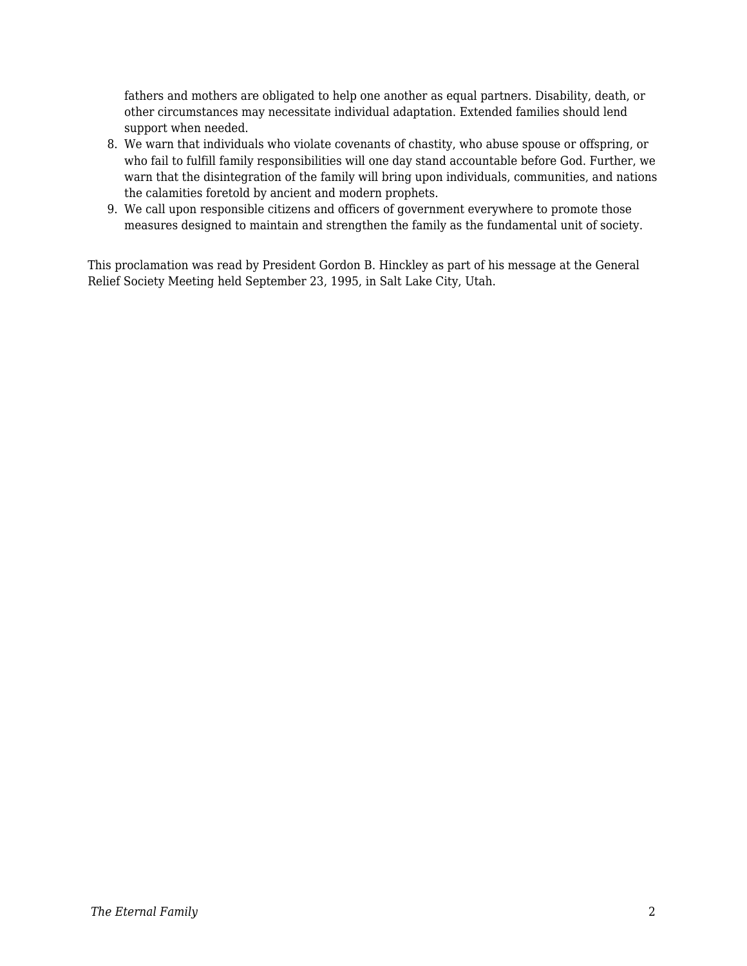fathers and mothers are obligated to help one another as equal partners. Disability, death, or other circumstances may necessitate individual adaptation. Extended families should lend support when needed.

- 8. We warn that individuals who violate covenants of chastity, who abuse spouse or offspring, or who fail to fulfill family responsibilities will one day stand accountable before God. Further, we warn that the disintegration of the family will bring upon individuals, communities, and nations the calamities foretold by ancient and modern prophets.
- 9. We call upon responsible citizens and officers of government everywhere to promote those measures designed to maintain and strengthen the family as the fundamental unit of society.

This proclamation was read by President Gordon B. Hinckley as part of his message at the General Relief Society Meeting held September 23, 1995, in Salt Lake City, Utah.